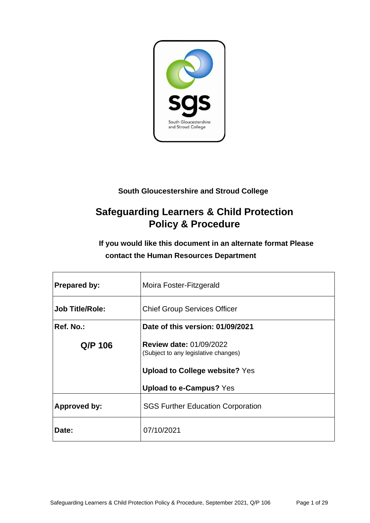

# **South Gloucestershire and Stroud College**

# **Safeguarding Learners & Child Protection Policy & Procedure**

# **If you would like this document in an alternate format Please contact the Human Resources Department**

| <b>Prepared by:</b>    | Moira Foster-Fitzgerald                                                                                                                           |
|------------------------|---------------------------------------------------------------------------------------------------------------------------------------------------|
| <b>Job Title/Role:</b> | <b>Chief Group Services Officer</b>                                                                                                               |
| Ref. No.:              | Date of this version: 01/09/2021                                                                                                                  |
| Q/P 106                | <b>Review date: 01/09/2022</b><br>(Subject to any legislative changes)<br><b>Upload to College website? Yes</b><br><b>Upload to e-Campus? Yes</b> |
| <b>Approved by:</b>    | <b>SGS Further Education Corporation</b>                                                                                                          |
| Date:                  | 07/10/2021                                                                                                                                        |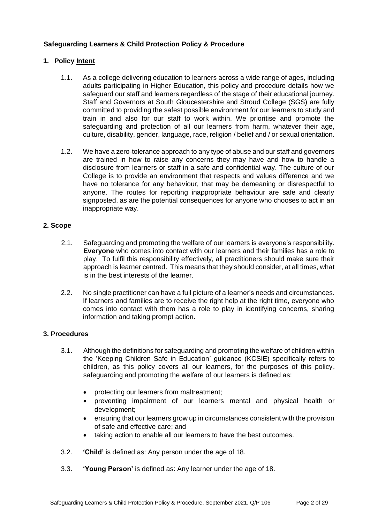# **Safeguarding Learners & Child Protection Policy & Procedure**

# **1. Policy Intent**

- 1.1. As a college delivering education to learners across a wide range of ages, including adults participating in Higher Education, this policy and procedure details how we safeguard our staff and learners regardless of the stage of their educational journey. Staff and Governors at South Gloucestershire and Stroud College (SGS) are fully committed to providing the safest possible environment for our learners to study and train in and also for our staff to work within. We prioritise and promote the safeguarding and protection of all our learners from harm, whatever their age, culture, disability, gender, language, race, religion / belief and / or sexual orientation.
- 1.2. We have a zero-tolerance approach to any type of abuse and our staff and governors are trained in how to raise any concerns they may have and how to handle a disclosure from learners or staff in a safe and confidential way. The culture of our College is to provide an environment that respects and values difference and we have no tolerance for any behaviour, that may be demeaning or disrespectful to anyone. The routes for reporting inappropriate behaviour are safe and clearly signposted, as are the potential consequences for anyone who chooses to act in an inappropriate way.

### **2. Scope**

- 2.1. Safeguarding and promoting the welfare of our learners is everyone's responsibility. **Everyone** who comes into contact with our learners and their families has a role to play. To fulfil this responsibility effectively, all practitioners should make sure their approach is learner centred. This means that they should consider, at all times, what is in the best interests of the learner.
- 2.2. No single practitioner can have a full picture of a learner's needs and circumstances. If learners and families are to receive the right help at the right time, everyone who comes into contact with them has a role to play in identifying concerns, sharing information and taking prompt action.

# **3. Procedures**

- 3.1. Although the definitions for safeguarding and promoting the welfare of children within the 'Keeping Children Safe in Education' guidance (KCSIE) specifically refers to children, as this policy covers all our learners, for the purposes of this policy, safeguarding and promoting the welfare of our learners is defined as:
	- protecting our learners from maltreatment;
	- preventing impairment of our learners mental and physical health or development;
	- ensuring that our learners grow up in circumstances consistent with the provision of safe and effective care; and
	- taking action to enable all our learners to have the best outcomes.
- 3.2. **'Child'** is defined as: Any person under the age of 18.
- 3.3. **'Young Person'** is defined as: Any learner under the age of 18.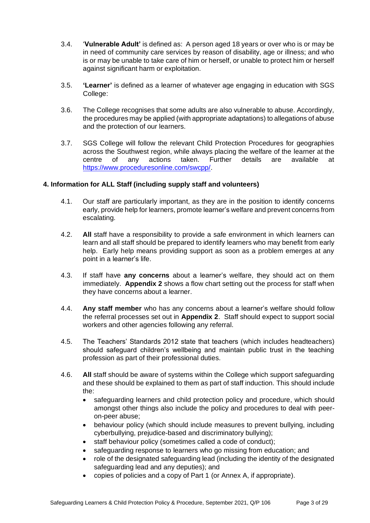- 3.4. '**Vulnerable Adult'** is defined as: A person aged 18 years or over who is or may be in need of community care services by reason of disability, age or illness; and who is or may be unable to take care of him or herself, or unable to protect him or herself against significant harm or exploitation.
- 3.5. **'Learner'** is defined as a learner of whatever age engaging in education with SGS College:
- 3.6. The College recognises that some adults are also vulnerable to abuse. Accordingly, the procedures may be applied (with appropriate adaptations) to allegations of abuse and the protection of our learners.
- 3.7. SGS College will follow the relevant Child Protection Procedures for geographies across the Southwest region, while always placing the welfare of the learner at the centre of any actions taken. Further details are available at [https://www.proceduresonline.com/swcpp/.](https://www.proceduresonline.com/swcpp/)

# **4. Information for ALL Staff (including supply staff and volunteers)**

- 4.1. Our staff are particularly important, as they are in the position to identify concerns early, provide help for learners, promote learner's welfare and prevent concerns from escalating.
- 4.2. **All** staff have a responsibility to provide a safe environment in which learners can learn and all staff should be prepared to identify learners who may benefit from early help. Early help means providing support as soon as a problem emerges at any point in a learner's life.
- 4.3. If staff have **any concerns** about a learner's welfare, they should act on them immediately. **Appendix 2** shows a flow chart setting out the process for staff when they have concerns about a learner.
- 4.4. **Any staff member** who has any concerns about a learner's welfare should follow the referral processes set out in **Appendix 2**. Staff should expect to support social workers and other agencies following any referral.
- 4.5. The Teachers' Standards 2012 state that teachers (which includes headteachers) should safeguard children's wellbeing and maintain public trust in the teaching profession as part of their professional duties.
- 4.6. **All** staff should be aware of systems within the College which support safeguarding and these should be explained to them as part of staff induction. This should include the:
	- safeguarding learners and child protection policy and procedure, which should amongst other things also include the policy and procedures to deal with peeron-peer abuse;
	- behaviour policy (which should include measures to prevent bullying, including cyberbullying, prejudice-based and discriminatory bullying);
	- staff behaviour policy (sometimes called a code of conduct);
	- safeguarding response to learners who go missing from education; and
	- role of the designated safeguarding lead (including the identity of the designated safeguarding lead and any deputies); and
	- copies of policies and a copy of Part 1 (or Annex A, if appropriate).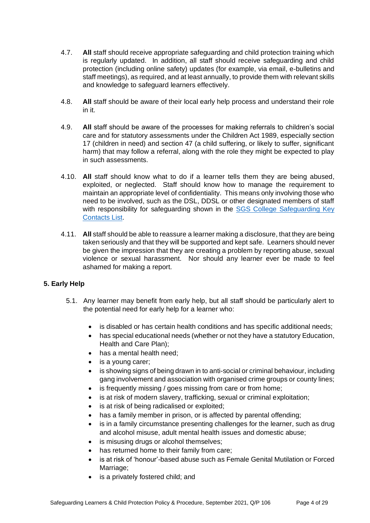- 4.7. **All** staff should receive appropriate safeguarding and child protection training which is regularly updated. In addition, all staff should receive safeguarding and child protection (including online safety) updates (for example, via email, e-bulletins and staff meetings), as required, and at least annually, to provide them with relevant skills and knowledge to safeguard learners effectively.
- 4.8. **All** staff should be aware of their local early help process and understand their role in it.
- 4.9. **All** staff should be aware of the processes for making referrals to children's social care and for statutory assessments under the Children Act 1989, especially section 17 (children in need) and section 47 (a child suffering, or likely to suffer, significant harm) that may follow a referral, along with the role they might be expected to play in such assessments.
- 4.10. **All** staff should know what to do if a learner tells them they are being abused, exploited, or neglected. Staff should know how to manage the requirement to maintain an appropriate level of confidentiality. This means only involving those who need to be involved, such as the DSL, DDSL or other designated members of staff with responsibility for safeguarding shown in the [SGS College Safeguarding Key](https://sgscol.sharepoint.com/:w:/s/staff/DataHub/Ef1rhnI1-IFGsEUcukmaDvkBi10rjcfWZQbCNEFzJl6E0g?e=UK4pu2)  [Contacts List.](https://sgscol.sharepoint.com/:w:/s/staff/DataHub/Ef1rhnI1-IFGsEUcukmaDvkBi10rjcfWZQbCNEFzJl6E0g?e=UK4pu2)
- 4.11. **All** staff should be able to reassure a learner making a disclosure, that they are being taken seriously and that they will be supported and kept safe. Learners should never be given the impression that they are creating a problem by reporting abuse, sexual violence or sexual harassment. Nor should any learner ever be made to feel ashamed for making a report.

# **5. Early Help**

- 5.1. Any learner may benefit from early help, but all staff should be particularly alert to the potential need for early help for a learner who:
	- is disabled or has certain health conditions and has specific additional needs;
	- has special educational needs (whether or not they have a statutory Education, Health and Care Plan);
	- has a mental health need;
	- is a young carer;
	- is showing signs of being drawn in to anti-social or criminal behaviour, including gang involvement and association with organised crime groups or county lines;
	- is frequently missing / goes missing from care or from home;
	- is at risk of modern slavery, trafficking, sexual or criminal exploitation;
	- is at risk of being radicalised or exploited;
	- has a family member in prison, or is affected by parental offending;
	- is in a family circumstance presenting challenges for the learner, such as drug and alcohol misuse, adult mental health issues and domestic abuse;
	- is misusing drugs or alcohol themselves;
	- has returned home to their family from care;
	- is at risk of 'honour'-based abuse such as Female Genital Mutilation or Forced Marriage;
	- is a privately fostered child; and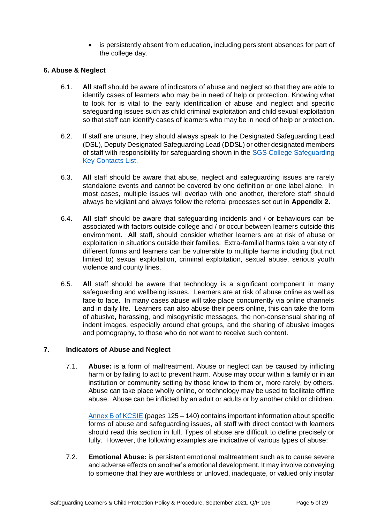• is persistently absent from education, including persistent absences for part of the college day.

## **6. Abuse & Neglect**

- 6.1. **All** staff should be aware of indicators of abuse and neglect so that they are able to identify cases of learners who may be in need of help or protection. Knowing what to look for is vital to the early identification of abuse and neglect and specific safeguarding issues such as child criminal exploitation and child sexual exploitation so that staff can identify cases of learners who may be in need of help or protection.
- 6.2. If staff are unsure, they should always speak to the Designated Safeguarding Lead (DSL), Deputy Designated Safeguarding Lead (DDSL) or other designated members of staff with responsibility for safeguarding shown in the [SGS College Safeguarding](https://sgscol.sharepoint.com/:w:/s/staff/DataHub/Ef1rhnI1-IFGsEUcukmaDvkBi10rjcfWZQbCNEFzJl6E0g?e=UK4pu2)  [Key Contacts List](https://sgscol.sharepoint.com/:w:/s/staff/DataHub/Ef1rhnI1-IFGsEUcukmaDvkBi10rjcfWZQbCNEFzJl6E0g?e=UK4pu2)[.](https://sgscol.sharepoint.com/:w:/r/sites/staff/DataHub/_layouts/15/Doc.aspx?sourcedoc=%7B80DDF68A-4950-490D-99B0-C7D715E6F627%7D&file=Safeguarding%20Key%20Contacts.docx&action=default&mobileredirect=true)
- 6.3. **All** staff should be aware that abuse, neglect and safeguarding issues are rarely standalone events and cannot be covered by one definition or one label alone. In most cases, multiple issues will overlap with one another, therefore staff should always be vigilant and always follow the referral processes set out in **Appendix 2.**
- 6.4. **All** staff should be aware that safeguarding incidents and / or behaviours can be associated with factors outside college and / or occur between learners outside this environment. **All** staff, should consider whether learners are at risk of abuse or exploitation in situations outside their families. Extra-familial harms take a variety of different forms and learners can be vulnerable to multiple harms including (but not limited to) sexual exploitation, criminal exploitation, sexual abuse, serious youth violence and county lines.
- 6.5. **All** staff should be aware that technology is a significant component in many safeguarding and wellbeing issues. Learners are at risk of abuse online as well as face to face. In many cases abuse will take place concurrently via online channels and in daily life. Learners can also abuse their peers online, this can take the form of abusive, harassing, and misogynistic messages, the non-consensual sharing of indent images, especially around chat groups, and the sharing of abusive images and pornography, to those who do not want to receive such content.

#### **7. Indicators of Abuse and Neglect**

7.1. **Abuse:** is a form of maltreatment. Abuse or neglect can be caused by inflicting harm or by failing to act to prevent harm. Abuse may occur within a family or in an institution or community setting by those know to them or, more rarely, by others. Abuse can take place wholly online, or technology may be used to facilitate offline abuse. Abuse can be inflicted by an adult or adults or by another child or children.

[Annex B of KCSIE](https://assets.publishing.service.gov.uk/government/uploads/system/uploads/attachment_data/file/1007260/Keeping_children_safe_in_education_2021.pdf) (pages 125 – 140) contains important information about specific forms of abuse and safeguarding issues, all staff with direct contact with learners should read this section in full. Types of abuse are difficult to define precisely or fully. However, the following examples are indicative of various types of abuse:

7.2. **Emotional Abuse:** is persistent emotional maltreatment such as to cause severe and adverse effects on another's emotional development. It may involve conveying to someone that they are worthless or unloved, inadequate, or valued only insofar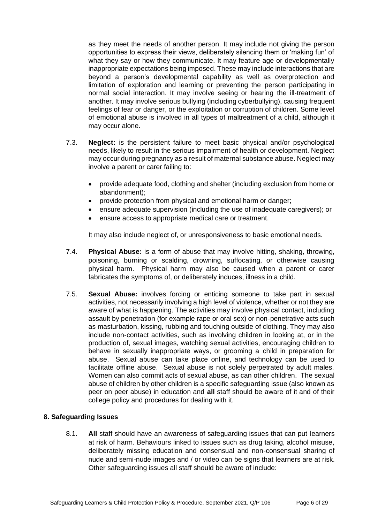as they meet the needs of another person. It may include not giving the person opportunities to express their views, deliberately silencing them or 'making fun' of what they say or how they communicate. It may feature age or developmentally inappropriate expectations being imposed. These may include interactions that are beyond a person's developmental capability as well as overprotection and limitation of exploration and learning or preventing the person participating in normal social interaction. It may involve seeing or hearing the ill-treatment of another. It may involve serious bullying (including cyberbullying), causing frequent feelings of fear or danger, or the exploitation or corruption of children. Some level of emotional abuse is involved in all types of maltreatment of a child, although it may occur alone.

- 7.3. **Neglect:** is the persistent failure to meet basic physical and/or psychological needs, likely to result in the serious impairment of health or development. Neglect may occur during pregnancy as a result of maternal substance abuse. Neglect may involve a parent or carer failing to:
	- provide adequate food, clothing and shelter (including exclusion from home or abandonment);
	- provide protection from physical and emotional harm or danger;
	- ensure adequate supervision (including the use of inadequate caregivers); or
	- ensure access to appropriate medical care or treatment.

It may also include neglect of, or unresponsiveness to basic emotional needs.

- 7.4. **Physical Abuse:** is a form of abuse that may involve hitting, shaking, throwing, poisoning, burning or scalding, drowning, suffocating, or otherwise causing physical harm. Physical harm may also be caused when a parent or carer fabricates the symptoms of, or deliberately induces, illness in a child.
- 7.5. **Sexual Abuse:** involves forcing or enticing someone to take part in sexual activities, not necessarily involving a high level of violence, whether or not they are aware of what is happening. The activities may involve physical contact, including assault by penetration (for example rape or oral sex) or non-penetrative acts such as masturbation, kissing, rubbing and touching outside of clothing. They may also include non-contact activities, such as involving children in looking at, or in the production of, sexual images, watching sexual activities, encouraging children to behave in sexually inappropriate ways, or grooming a child in preparation for abuse. Sexual abuse can take place online, and technology can be used to facilitate offline abuse. Sexual abuse is not solely perpetrated by adult males. Women can also commit acts of sexual abuse, as can other children. The sexual abuse of children by other children is a specific safeguarding issue (also known as peer on peer abuse) in education and **all** staff should be aware of it and of their college policy and procedures for dealing with it.

# **8. Safeguarding Issues**

8.1. **All** staff should have an awareness of safeguarding issues that can put learners at risk of harm. Behaviours linked to issues such as drug taking, alcohol misuse, deliberately missing education and consensual and non-consensual sharing of nude and semi-nude images and / or video can be signs that learners are at risk. Other safeguarding issues all staff should be aware of include: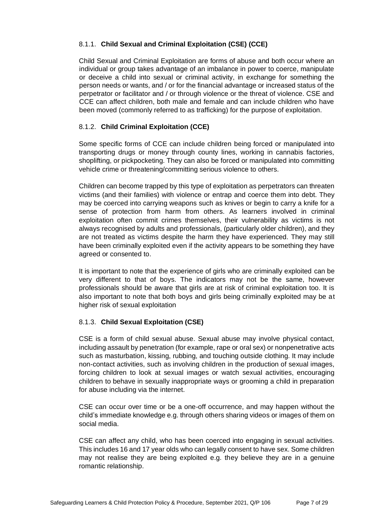# 8.1.1. **Child Sexual and Criminal Exploitation (CSE) (CCE)**

Child Sexual and Criminal Exploitation are forms of abuse and both occur where an individual or group takes advantage of an imbalance in power to coerce, manipulate or deceive a child into sexual or criminal activity, in exchange for something the person needs or wants, and / or for the financial advantage or increased status of the perpetrator or facilitator and / or through violence or the threat of violence. CSE and CCE can affect children, both male and female and can include children who have been moved (commonly referred to as trafficking) for the purpose of exploitation.

# 8.1.2. **Child Criminal Exploitation (CCE)**

Some specific forms of CCE can include children being forced or manipulated into transporting drugs or money through county lines, working in cannabis factories, shoplifting, or pickpocketing. They can also be forced or manipulated into committing vehicle crime or threatening/committing serious violence to others.

Children can become trapped by this type of exploitation as perpetrators can threaten victims (and their families) with violence or entrap and coerce them into debt. They may be coerced into carrying weapons such as knives or begin to carry a knife for a sense of protection from harm from others. As learners involved in criminal exploitation often commit crimes themselves, their vulnerability as victims is not always recognised by adults and professionals, (particularly older children), and they are not treated as victims despite the harm they have experienced. They may still have been criminally exploited even if the activity appears to be something they have agreed or consented to.

It is important to note that the experience of girls who are criminally exploited can be very different to that of boys. The indicators may not be the same, however professionals should be aware that girls are at risk of criminal exploitation too. It is also important to note that both boys and girls being criminally exploited may be at higher risk of sexual exploitation

# 8.1.3. **Child Sexual Exploitation (CSE)**

CSE is a form of child sexual abuse. Sexual abuse may involve physical contact, including assault by penetration (for example, rape or oral sex) or nonpenetrative acts such as masturbation, kissing, rubbing, and touching outside clothing. It may include non-contact activities, such as involving children in the production of sexual images, forcing children to look at sexual images or watch sexual activities, encouraging children to behave in sexually inappropriate ways or grooming a child in preparation for abuse including via the internet.

CSE can occur over time or be a one-off occurrence, and may happen without the child's immediate knowledge e.g. through others sharing videos or images of them on social media.

CSE can affect any child, who has been coerced into engaging in sexual activities. This includes 16 and 17 year olds who can legally consent to have sex. Some children may not realise they are being exploited e.g. they believe they are in a genuine romantic relationship.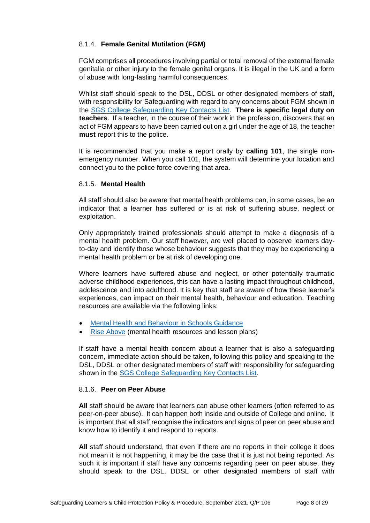# 8.1.4. **Female Genital Mutilation (FGM)**

FGM comprises all procedures involving partial or total removal of the external female genitalia or other injury to the female genital organs. It is illegal in the UK and a form of abuse with long-lasting harmful consequences.

Whilst staff should speak to the DSL, DDSL or other designated members of staff. with responsibility for Safeguarding with regard to any concerns about FGM shown in the [SGS College Safeguarding Key Contacts List.](https://sgscol.sharepoint.com/:w:/s/staff/DataHub/Ef1rhnI1-IFGsEUcukmaDvkBi10rjcfWZQbCNEFzJl6E0g?e=UK4pu2) **There is specific legal duty on teachers**. If a teacher, in the course of their work in the profession, discovers that an act of FGM appears to have been carried out on a girl under the age of 18, the teacher **must** report this to the police.

It is recommended that you make a report orally by **calling 101**, the single nonemergency number. When you call 101, the system will determine your location and connect you to the police force covering that area.

### 8.1.5. **Mental Health**

All staff should also be aware that mental health problems can, in some cases, be an indicator that a learner has suffered or is at risk of suffering abuse, neglect or exploitation.

Only appropriately trained professionals should attempt to make a diagnosis of a mental health problem. Our staff however, are well placed to observe learners dayto-day and identify those whose behaviour suggests that they may be experiencing a mental health problem or be at risk of developing one.

Where learners have suffered abuse and neglect, or other potentially traumatic adverse childhood experiences, this can have a lasting impact throughout childhood, adolescence and into adulthood. It is key that staff are aware of how these learner's experiences, can impact on their mental health, behaviour and education. Teaching resources are available via the following links:

- [Mental Health and Behaviour in Schools Guidance](https://www.gov.uk/government/publications/mental-health-and-behaviour-in-schools--2)
- [Rise Above](https://campaignresources.phe.gov.uk/schools/topics/mental-wellbeing/overview) (mental health resources and lesson plans)

If staff have a mental health concern about a learner that is also a safeguarding concern, immediate action should be taken, following this policy and speaking to the DSL, DDSL or other designated members of staff with responsibility for safeguarding shown in the [SGS College Safeguarding Key Contacts List.](https://sgscol.sharepoint.com/:w:/s/staff/DataHub/Ef1rhnI1-IFGsEUcukmaDvkBi10rjcfWZQbCNEFzJl6E0g?e=UK4pu2)

# 8.1.6. **Peer on Peer Abuse**

**All** staff should be aware that learners can abuse other learners (often referred to as peer-on-peer abuse). It can happen both inside and outside of College and online. It is important that all staff recognise the indicators and signs of peer on peer abuse and know how to identify it and respond to reports.

**All** staff should understand, that even if there are no reports in their college it does not mean it is not happening, it may be the case that it is just not being reported. As such it is important if staff have any concerns regarding peer on peer abuse, they should speak to the DSL, DDSL or other designated members of staff with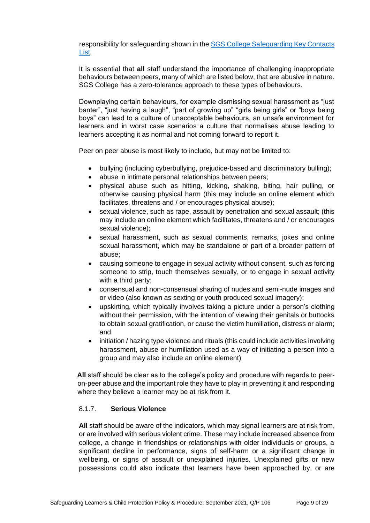responsibility for safeguarding shown in the SGS College [Safeguarding Key Contacts](https://sgscol.sharepoint.com/:w:/s/staff/DataHub/Ef1rhnI1-IFGsEUcukmaDvkBi10rjcfWZQbCNEFzJl6E0g?e=UK4pu2)  [List.](https://sgscol.sharepoint.com/:w:/s/staff/DataHub/Ef1rhnI1-IFGsEUcukmaDvkBi10rjcfWZQbCNEFzJl6E0g?e=UK4pu2)

It is essential that **all** staff understand the importance of challenging inappropriate behaviours between peers, many of which are listed below, that are abusive in nature. SGS College has a zero-tolerance approach to these types of behaviours.

Downplaying certain behaviours, for example dismissing sexual harassment as "just banter", "just having a laugh", "part of growing up" "girls being girls" or "boys being boys" can lead to a culture of unacceptable behaviours, an unsafe environment for learners and in worst case scenarios a culture that normalises abuse leading to learners accepting it as normal and not coming forward to report it.

Peer on peer abuse is most likely to include, but may not be limited to:

- bullying (including cyberbullying, prejudice-based and discriminatory bulling);
- abuse in intimate personal relationships between peers;
- physical abuse such as hitting, kicking, shaking, biting, hair pulling, or otherwise causing physical harm (this may include an online element which facilitates, threatens and / or encourages physical abuse);
- sexual violence, such as rape, assault by penetration and sexual assault; (this may include an online element which facilitates, threatens and / or encourages sexual violence);
- sexual harassment, such as sexual comments, remarks, jokes and online sexual harassment, which may be standalone or part of a broader pattern of abuse;
- causing someone to engage in sexual activity without consent, such as forcing someone to strip, touch themselves sexually, or to engage in sexual activity with a third party;
- consensual and non-consensual sharing of nudes and semi-nude images and or video (also known as sexting or youth produced sexual imagery);
- upskirting, which typically involves taking a picture under a person's clothing without their permission, with the intention of viewing their genitals or buttocks to obtain sexual gratification, or cause the victim humiliation, distress or alarm; and
- initiation / hazing type violence and rituals (this could include activities involving harassment, abuse or humiliation used as a way of initiating a person into a group and may also include an online element)

**All** staff should be clear as to the college's policy and procedure with regards to peeron-peer abuse and the important role they have to play in preventing it and responding where they believe a learner may be at risk from it.

#### 8.1.7. **Serious Violence**

**All** staff should be aware of the indicators, which may signal learners are at risk from, or are involved with serious violent crime. These may include increased absence from college, a change in friendships or relationships with older individuals or groups, a significant decline in performance, signs of self-harm or a significant change in wellbeing, or signs of assault or unexplained injuries. Unexplained gifts or new possessions could also indicate that learners have been approached by, or are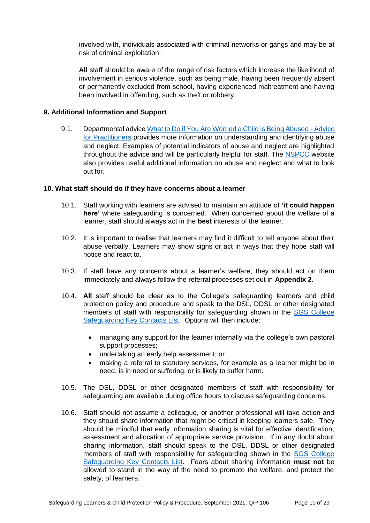involved with, individuals associated with criminal networks or gangs and may be at risk of criminal exploitation.

**All** staff should be aware of the range of risk factors which increase the likelihood of involvement in serious violence, such as being male, having been frequently absent or permanently excluded from school, having experienced maltreatment and having been involved in offending, such as theft or robbery.

#### **9. Additional Information and Support**

9.1. Departmental advic[e What to Do if You Are Worried a Child is Being Abused -](https://www.gov.uk/government/publications/what-to-do-if-youre-worried-a-child-is-being-abused--2) Advice [for Practitioners](https://www.gov.uk/government/publications/what-to-do-if-youre-worried-a-child-is-being-abused--2) provides more information on understanding and identifying abuse and neglect. Examples of potential indicators of abuse and neglect are highlighted throughout the advice and will be particularly helpful for staff. The [NSPCC](https://www.nspcc.org.uk/) website also provides useful additional information on abuse and neglect and what to look out for.

### **10. What staff should do if they have concerns about a learner**

- 10.1. Staff working with learners are advised to maintain an attitude of **'it could happen here'** where safeguarding is concerned. When concerned about the welfare of a learner, staff should always act in the **best** interests of the learner.
- 10.2. It is important to realise that learners may find it difficult to tell anyone about their abuse verbally. Learners may show signs or act in ways that they hope staff will notice and react to.
- 10.3. If staff have any concerns about a learner's welfare, they should act on them immediately and always follow the referral processes set out in **Appendix 2.**
- 10.4. **All** staff should be clear as to the College's safeguarding learners and child protection policy and procedure and speak to the DSL, DDSL or other designated members of staff with responsibility for safeguarding shown in the [SGS College](https://sgscol.sharepoint.com/:w:/s/staff/DataHub/Ef1rhnI1-IFGsEUcukmaDvkBi10rjcfWZQbCNEFzJl6E0g?e=UK4pu2)  [Safeguarding Key Contacts List.](https://sgscol.sharepoint.com/:w:/s/staff/DataHub/Ef1rhnI1-IFGsEUcukmaDvkBi10rjcfWZQbCNEFzJl6E0g?e=UK4pu2) Options will then include:
	- managing any support for the learner internally via the college's own pastoral support processes;
	- undertaking an early help assessment; or
	- making a referral to statutory services, for example as a learner might be in need, is in need or suffering, or is likely to suffer harm.
- 10.5. The DSL, DDSL or other designated members of staff with responsibility for safeguarding are available during office hours to discuss safeguarding concerns.
- 10.6. Staff should not assume a colleague, or another professional will take action and they should share information that might be critical in keeping learners safe. They should be mindful that early information sharing is vital for effective identification, assessment and allocation of appropriate service provision. If in any doubt about sharing information, staff should speak to the DSL, DDSL or other designated members of staff with responsibility for safeguarding shown in the [SGS College](https://sgscol.sharepoint.com/:w:/s/staff/DataHub/Ef1rhnI1-IFGsEUcukmaDvkBi10rjcfWZQbCNEFzJl6E0g?e=UK4pu2)  [Safeguarding Key Contacts List](https://sgscol.sharepoint.com/:w:/s/staff/DataHub/Ef1rhnI1-IFGsEUcukmaDvkBi10rjcfWZQbCNEFzJl6E0g?e=UK4pu2)[.](https://sgscol.sharepoint.com/:w:/r/sites/staff/DataHub/_layouts/15/Doc.aspx?sourcedoc=%7B80DDF68A-4950-490D-99B0-C7D715E6F627%7D&file=Safeguarding%20Key%20Contacts.docx&action=default&mobileredirect=true) Fears about sharing information **must not** be allowed to stand in the way of the need to promote the welfare, and protect the safety, of learners.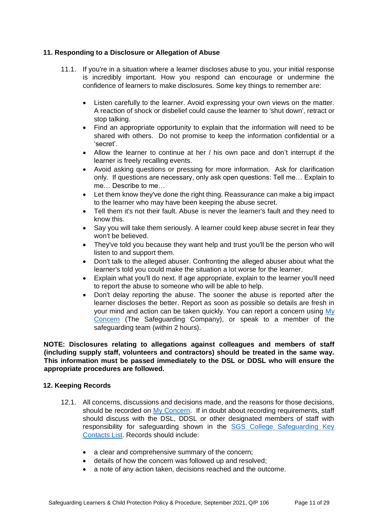# **11. Responding to a Disclosure or Allegation of Abuse**

- 11.1. If you're in a situation where a learner discloses abuse to you, your initial response is incredibly important. How you respond can encourage or undermine the confidence of learners to make disclosures. Some key things to remember are:
	- Listen carefully to the learner. Avoid expressing your own views on the matter. A reaction of shock or disbelief could cause the learner to 'shut down', retract or stop talking.
	- Find an appropriate opportunity to explain that the information will need to be shared with others. Do not promise to keep the information confidential or a 'secret'.
	- Allow the learner to continue at her / his own pace and don't interrupt if the learner is freely recalling events.
	- Avoid asking questions or pressing for more information. Ask for clarification only. If questions are necessary, only ask open questions: Tell me… Explain to me… Describe to me…
	- Let them know they've done the right thing. Reassurance can make a big impact to the learner who may have been keeping the abuse secret.
	- Tell them it's not their fault. Abuse is never the learner's fault and they need to know this.
	- Say you will take them seriously. A learner could keep abuse secret in fear they won't be believed.
	- They've told you because they want help and trust you'll be the person who will listen to and support them.
	- Don't talk to the alleged abuser. Confronting the alleged abuser about what the learner's told you could make the situation a lot worse for the learner.
	- Explain what you'll do next. If age appropriate, explain to the learner you'll need to report the abuse to someone who will be able to help.
	- Don't delay reporting the abuse. The sooner the abuse is reported after the learner discloses the better. Report as soon as possible so details are fresh in your mind and action can be taken quickly. You can report a concern using [My](https://www.myconcern.education/Account/Login?ReturnUrl=%2f)  [Concern](https://www.myconcern.education/Account/Login?ReturnUrl=%2f) (The Safeguarding Company), or speak to a member of the safeguarding team (within 2 hours).

**NOTE: Disclosures relating to allegations against colleagues and members of staff (including supply staff, volunteers and contractors) should be treated in the same way. This information must be passed immediately to the DSL or DDSL who will ensure the appropriate procedures are followed.** 

# **12. Keeping Records**

- 12.1. All concerns, discussions and decisions made, and the reasons for those decisions, should be recorded on [My Concern.](https://www.myconcern.education/Account/Login?ReturnUrl=%2f) If in doubt about recording requirements, staff should discuss with the DSL, DDSL or other designated members of staff with responsibility for safeguarding shown in the [SGS College Safeguarding Key](https://sgscol.sharepoint.com/:w:/s/staff/DataHub/Ef1rhnI1-IFGsEUcukmaDvkBi10rjcfWZQbCNEFzJl6E0g?e=UK4pu2)  [Contacts List](https://sgscol.sharepoint.com/:w:/s/staff/DataHub/Ef1rhnI1-IFGsEUcukmaDvkBi10rjcfWZQbCNEFzJl6E0g?e=UK4pu2)[.](https://sgscol.sharepoint.com/:w:/r/sites/staff/DataHub/_layouts/15/Doc.aspx?sourcedoc=%7B80DDF68A-4950-490D-99B0-C7D715E6F627%7D&file=Safeguarding%20Key%20Contacts.docx&action=default&mobileredirect=true) Records should include:
	- a clear and comprehensive summary of the concern;
	- details of how the concern was followed up and resolved;
	- a note of any action taken, decisions reached and the outcome.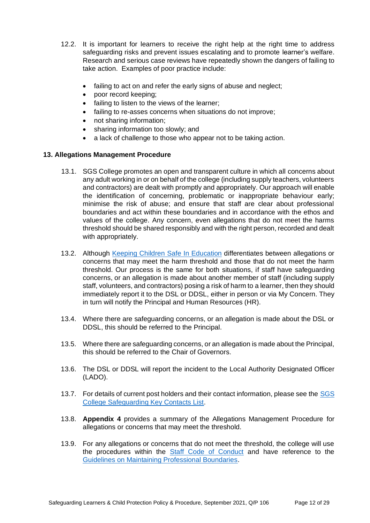- 12.2. It is important for learners to receive the right help at the right time to address safeguarding risks and prevent issues escalating and to promote learner's welfare. Research and serious case reviews have repeatedly shown the dangers of failing to take action. Examples of poor practice include:
	- failing to act on and refer the early signs of abuse and neglect:
	- poor record keeping;
	- failing to listen to the views of the learner;
	- failing to re-asses concerns when situations do not improve;
	- not sharing information;
	- sharing information too slowly; and
	- a lack of challenge to those who appear not to be taking action.

#### **13. Allegations Management Procedure**

- 13.1. SGS College promotes an open and transparent culture in which all concerns about any adult working in or on behalf of the college (including supply teachers, volunteers and contractors) are dealt with promptly and appropriately. Our approach will enable the identification of concerning, problematic or inappropriate behaviour early; minimise the risk of abuse; and ensure that staff are clear about professional boundaries and act within these boundaries and in accordance with the ethos and values of the college. Any concern, even allegations that do not meet the harms threshold should be shared responsibly and with the right person, recorded and dealt with appropriately.
- 13.2. Although [Keeping Children Safe In Education](https://assets.publishing.service.gov.uk/government/uploads/system/uploads/attachment_data/file/1007260/Keeping_children_safe_in_education_2021.pdf) differentiates between allegations or concerns that may meet the harm threshold and those that do not meet the harm threshold. Our process is the same for both situations, if staff have safeguarding concerns, or an allegation is made about another member of staff (including supply staff, volunteers, and contractors) posing a risk of harm to a learner, then they should immediately report it to the DSL or DDSL, either in person or via My Concern. They in turn will notify the Principal and Human Resources (HR).
- 13.4. Where there are safeguarding concerns, or an allegation is made about the DSL or DDSL, this should be referred to the Principal.
- 13.5. Where there are safeguarding concerns, or an allegation is made about the Principal, this should be referred to the Chair of Governors.
- 13.6. The DSL or DDSL will report the incident to the Local Authority Designated Officer (LADO).
- 13.7. For details of current post holders and their contact information, please see the [SGS](https://sgscol.sharepoint.com/:w:/s/staff/DataHub/Ef1rhnI1-IFGsEUcukmaDvkBi10rjcfWZQbCNEFzJl6E0g?e=UK4pu2)  [College Safeguarding Key Contacts List.](https://sgscol.sharepoint.com/:w:/s/staff/DataHub/Ef1rhnI1-IFGsEUcukmaDvkBi10rjcfWZQbCNEFzJl6E0g?e=UK4pu2)
- 13.8. **Appendix 4** provides a summary of the Allegations Management Procedure for allegations or concerns that may meet the threshold.
- 13.9. For any allegations or concerns that do not meet the threshold, the college will use the procedures within the [Staff Code of Conduct](https://sgscol.sharepoint.com/:w:/r/sites/staff/DataHub/Official%20Documents%20in%20SGS/Code%20of%20Conduct%20(staff).docx?d=wb753b8f298ed4915adf5e3878f176aba&csf=1&web=1&e=Ex6LjF) and have reference to the Guidelines on [Maintaining Professional Boundaries.](https://sgscol.sharepoint.com/:b:/s/staff/DataHub/EUkLYP-qZtNMp3OqDAbeiEYB4ukZqRWgAunqQKbr5ADzGw?e=QyijPX)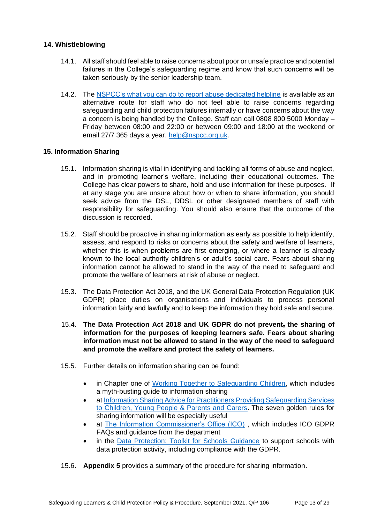## **14. Whistleblowing**

- 14.1. All staff should feel able to raise concerns about poor or unsafe practice and potential failures in the College's safeguarding regime and know that such concerns will be taken seriously by the senior leadership team.
- 14.2. The [NSPCC's what you can do to report abuse dedicated helpline](https://www.nspcc.org.uk/keeping-children-safe/reporting-abuse/report/report-abuse-online/) is available as an alternative route for staff who do not feel able to raise concerns regarding safeguarding and child protection failures internally or have concerns about the way a concern is being handled by the College. Staff can call 0808 800 5000 Monday – Friday between 08:00 and 22:00 or between 09:00 and 18:00 at the weekend or email 27/7 365 days a year. [help@nspcc.org.uk.](mailto:help@nspcc.org.uk)

### **15. Information Sharing**

- 15.1. Information sharing is vital in identifying and tackling all forms of abuse and neglect, and in promoting learner's welfare, including their educational outcomes. The College has clear powers to share, hold and use information for these purposes. If at any stage you are unsure about how or when to share information, you should seek advice from the DSL, DDSL or other designated members of staff with responsibility for safeguarding. You should also ensure that the outcome of the discussion is recorded.
- 15.2. Staff should be proactive in sharing information as early as possible to help identify, assess, and respond to risks or concerns about the safety and welfare of learners, whether this is when problems are first emerging, or where a learner is already known to the local authority children's or adult's social care. Fears about sharing information cannot be allowed to stand in the way of the need to safeguard and promote the welfare of learners at risk of abuse or neglect.
- 15.3. The Data Protection Act 2018, and the UK General Data Protection Regulation (UK GDPR) place duties on organisations and individuals to process personal information fairly and lawfully and to keep the information they hold safe and secure.
- 15.4. **The Data Protection Act 2018 and UK GDPR do not prevent, the sharing of information for the purposes of keeping learners safe. Fears about sharing information must not be allowed to stand in the way of the need to safeguard and promote the welfare and protect the safety of learners.**
- 15.5. Further details on information sharing can be found:
	- in Chapter one of [Working Together to Safeguarding Children,](https://assets.publishing.service.gov.uk/government/uploads/system/uploads/attachment_data/file/779401/Working_Together_to_Safeguard-Children.pdf) which includes a myth-busting guide to information sharing
	- at [Information Sharing Advice for Practitioners Providing Safeguarding Services](https://assets.publishing.service.gov.uk/government/uploads/system/uploads/attachment_data/file/721581/Information_sharing_advice_practitioners_safeguarding_services.pdf)  [to Children, Young People & Parents and Carers.](https://assets.publishing.service.gov.uk/government/uploads/system/uploads/attachment_data/file/721581/Information_sharing_advice_practitioners_safeguarding_services.pdf) The seven golden rules for sharing information will be especially useful
	- at [The Information Commissioner's Office \(ICO\)](https://ico.org.uk/) [,](https://ico.org.uk/) which includes ICO GDPR FAQs and guidance from the department
	- in the [Data Protection: Toolkit for Schools Guidance](https://assets.publishing.service.gov.uk/government/uploads/system/uploads/attachment_data/file/747620/Data_Protection_Toolkit_for_Schools_OpenBeta.pdf) to support schools with data protection activity, including compliance with the GDPR.
- 15.6. **Appendix 5** provides a summary of the procedure for sharing information.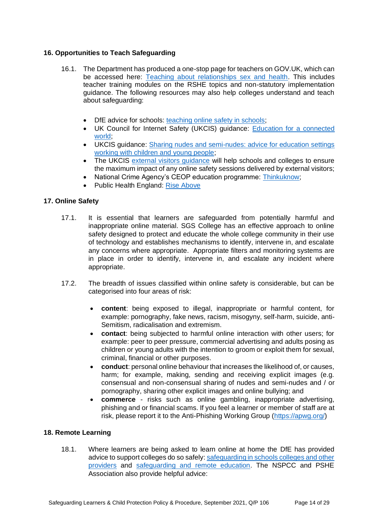# **16. Opportunities to Teach Safeguarding**

- 16.1. The Department has produced a one-stop page for teachers on GOV.UK, which can be accessed here: [Teaching about relationships sex and health.](https://www.gov.uk/guidance/teaching-about-relationships-sex-and-health) This includes teacher training modules on the RSHE topics and non-statutory implementation guidance. The following resources may also help colleges understand and teach about safeguarding:
	- DfE advice for schools: [teaching online safety in schools;](https://www.gov.uk/government/publications/teaching-online-safety-in-schools)
	- UK Council for Internet Safety (UKCIS) guidance: [Education for a connected](https://www.gov.uk/government/publications/education-for-a-connected-world)  [world;](https://www.gov.uk/government/publications/education-for-a-connected-world)
	- UKCIS guidance: [Sharing nudes and semi-nudes: advice for education settings](https://www.gov.uk/government/publications/sharing-nudes-and-semi-nudes-advice-for-education-settings-working-with-children-and-young-people/sharing-nudes-and-semi-nudes-advice-for-education-settings-working-with-children-and-young-people)  [working with children and young people;](https://www.gov.uk/government/publications/sharing-nudes-and-semi-nudes-advice-for-education-settings-working-with-children-and-young-people/sharing-nudes-and-semi-nudes-advice-for-education-settings-working-with-children-and-young-people)
	- The UKCIS [external visitors guidance](https://www.gov.uk/government/publications/using-external-visitors-to-support-online-safety-education-guidance-for-educational-settings) will help schools and colleges to ensure the maximum impact of any online safety sessions delivered by external visitors;
	- National Crime Agency's CEOP education programme: [Thinkuknow;](https://www.thinkuknow.co.uk/)
	- **Public Health England: [Rise Above](https://www.gov.uk/government/news/phe-launches-rise-above-for-schools-programme)**

# **17. Online Safety**

- 17.1. It is essential that learners are safeguarded from potentially harmful and inappropriate online material. SGS College has an effective approach to online safety designed to protect and educate the whole college community in their use of technology and establishes mechanisms to identify, intervene in, and escalate any concerns where appropriate. Appropriate filters and monitoring systems are in place in order to identify, intervene in, and escalate any incident where appropriate.
- 17.2. The breadth of issues classified within online safety is considerable, but can be categorised into four areas of risk:
	- **content**: being exposed to illegal, inappropriate or harmful content, for example: pornography, fake news, racism, misogyny, self-harm, suicide, anti-Semitism, radicalisation and extremism.
	- **contact**: being subjected to harmful online interaction with other users; for example: peer to peer pressure, commercial advertising and adults posing as children or young adults with the intention to groom or exploit them for sexual, criminal, financial or other purposes.
	- **conduct**: personal online behaviour that increases the likelihood of, or causes, harm; for example, making, sending and receiving explicit images (e.g. consensual and non-consensual sharing of nudes and semi-nudes and / or pornography, sharing other explicit images and online bullying; and
	- **commerce** risks such as online gambling, inappropriate advertising, phishing and or financial scams. If you feel a learner or member of staff are at risk, please report it to the Anti-Phishing Working Group [\(https://apwg.org/\)](https://apwg.org/)

# **18. Remote Learning**

18.1. Where learners are being asked to learn online at home the DfE has provided advice to support colleges do so safely: safeguarding in schools colleges and other [providers](https://www.gov.uk/government/publications/actions-for-schools-during-the-coronavirus-outbreak#res) and [safeguarding and remote education.](https://www.gov.uk/guidance/safeguarding-and-remote-education-during-coronavirus-covid-19) The NSPCC and PSHE Association also provide helpful advice: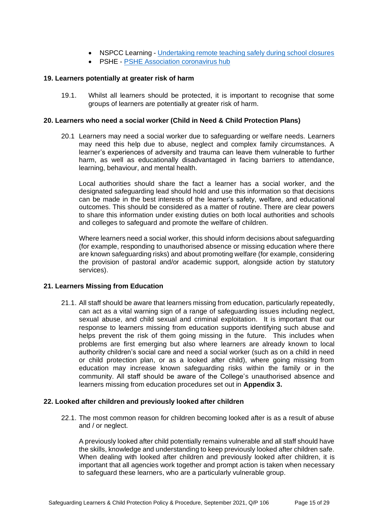- NSPCC Learning [Undertaking remote teaching safely during school closures](https://learning.nspcc.org.uk/news/covid/undertaking-remote-teaching-safely)
- PSHE [PSHE Association coronavirus hub](https://www.pshe-association.org.uk/curriculum-and-resources/search-for-resources)

## **19. Learners potentially at greater risk of harm**

19.1. Whilst all learners should be protected, it is important to recognise that some groups of learners are potentially at greater risk of harm.

#### **20. Learners who need a social worker (Child in Need & Child Protection Plans)**

20.1 Learners may need a social worker due to safeguarding or welfare needs. Learners may need this help due to abuse, neglect and complex family circumstances. A learner's experiences of adversity and trauma can leave them vulnerable to further harm, as well as educationally disadvantaged in facing barriers to attendance, learning, behaviour, and mental health.

Local authorities should share the fact a learner has a social worker, and the designated safeguarding lead should hold and use this information so that decisions can be made in the best interests of the learner's safety, welfare, and educational outcomes. This should be considered as a matter of routine. There are clear powers to share this information under existing duties on both local authorities and schools and colleges to safeguard and promote the welfare of children.

Where learners need a social worker, this should inform decisions about safeguarding (for example, responding to unauthorised absence or missing education where there are known safeguarding risks) and about promoting welfare (for example, considering the provision of pastoral and/or academic support, alongside action by statutory services).

#### **21. Learners Missing from Education**

21.1. All staff should be aware that learners missing from education, particularly repeatedly, can act as a vital warning sign of a range of safeguarding issues including neglect, sexual abuse, and child sexual and criminal exploitation. It is important that our response to learners missing from education supports identifying such abuse and helps prevent the risk of them going missing in the future. This includes when problems are first emerging but also where learners are already known to local authority children's social care and need a social worker (such as on a child in need or child protection plan, or as a looked after child), where going missing from education may increase known safeguarding risks within the family or in the community. All staff should be aware of the College's unauthorised absence and learners missing from education procedures set out in **Appendix 3.** 

#### **22. Looked after children and previously looked after children**

22.1. The most common reason for children becoming looked after is as a result of abuse and / or neglect.

A previously looked after child potentially remains vulnerable and all staff should have the skills, knowledge and understanding to keep previously looked after children safe. When dealing with looked after children and previously looked after children, it is important that all agencies work together and prompt action is taken when necessary to safeguard these learners, who are a particularly vulnerable group.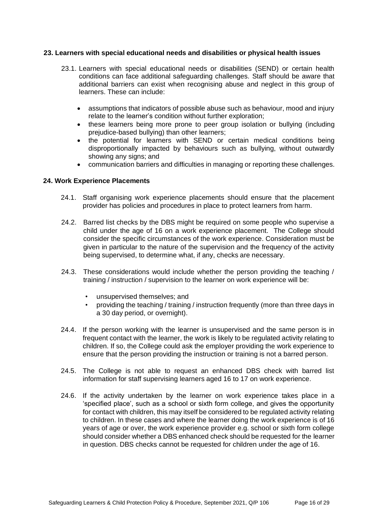### **23. Learners with special educational needs and disabilities or physical health issues**

- 23.1. Learners with special educational needs or disabilities (SEND) or certain health conditions can face additional safeguarding challenges. Staff should be aware that additional barriers can exist when recognising abuse and neglect in this group of learners. These can include:
	- assumptions that indicators of possible abuse such as behaviour, mood and injury relate to the learner's condition without further exploration;
	- these learners being more prone to peer group isolation or bullying (including prejudice-based bullying) than other learners;
	- the potential for learners with SEND or certain medical conditions being disproportionally impacted by behaviours such as bullying, without outwardly showing any signs; and
	- communication barriers and difficulties in managing or reporting these challenges.

### **24. Work Experience Placements**

- 24.1. Staff organising work experience placements should ensure that the placement provider has policies and procedures in place to protect learners from harm.
- 24.2. Barred list checks by the DBS might be required on some people who supervise a child under the age of 16 on a work experience placement. The College should consider the specific circumstances of the work experience. Consideration must be given in particular to the nature of the supervision and the frequency of the activity being supervised, to determine what, if any, checks are necessary.
- 24.3. These considerations would include whether the person providing the teaching / training / instruction / supervision to the learner on work experience will be:
	- unsupervised themselves; and
	- providing the teaching / training / instruction frequently (more than three days in a 30 day period, or overnight).
- 24.4. If the person working with the learner is unsupervised and the same person is in frequent contact with the learner, the work is likely to be regulated activity relating to children. If so, the College could ask the employer providing the work experience to ensure that the person providing the instruction or training is not a barred person.
- 24.5. The College is not able to request an enhanced DBS check with barred list information for staff supervising learners aged 16 to 17 on work experience.
- 24.6. If the activity undertaken by the learner on work experience takes place in a 'specified place', such as a school or sixth form college, and gives the opportunity for contact with children, this may itself be considered to be regulated activity relating to children. In these cases and where the learner doing the work experience is of 16 years of age or over, the work experience provider e.g. school or sixth form college should consider whether a DBS enhanced check should be requested for the learner in question. DBS checks cannot be requested for children under the age of 16.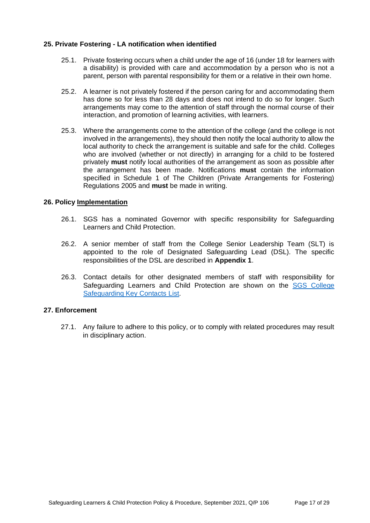## **25. Private Fostering - LA notification when identified**

- 25.1. Private fostering occurs when a child under the age of 16 (under 18 for learners with a disability) is provided with care and accommodation by a person who is not a parent, person with parental responsibility for them or a relative in their own home.
- 25.2. A learner is not privately fostered if the person caring for and accommodating them has done so for less than 28 days and does not intend to do so for longer. Such arrangements may come to the attention of staff through the normal course of their interaction, and promotion of learning activities, with learners.
- 25.3. Where the arrangements come to the attention of the college (and the college is not involved in the arrangements), they should then notify the local authority to allow the local authority to check the arrangement is suitable and safe for the child. Colleges who are involved (whether or not directly) in arranging for a child to be fostered privately **must** notify local authorities of the arrangement as soon as possible after the arrangement has been made. Notifications **must** contain the information specified in Schedule 1 of The Children (Private Arrangements for Fostering) Regulations 2005 and **must** be made in writing.

### **26. Policy Implementation**

- 26.1. SGS has a nominated Governor with specific responsibility for Safeguarding Learners and Child Protection.
- 26.2. A senior member of staff from the College Senior Leadership Team (SLT) is appointed to the role of Designated Safeguarding Lead (DSL). The specific responsibilities of the DSL are described in **Appendix 1**.
- 26.3. Contact details for other designated members of staff with responsibility for Safeguarding Learners and Child Protection are shown on the [SGS College](https://sgscol.sharepoint.com/:w:/s/staff/DataHub/Ef1rhnI1-IFGsEUcukmaDvkBi10rjcfWZQbCNEFzJl6E0g?e=UK4pu2)  [Safeguarding Key Contacts List.](https://sgscol.sharepoint.com/:w:/s/staff/DataHub/Ef1rhnI1-IFGsEUcukmaDvkBi10rjcfWZQbCNEFzJl6E0g?e=UK4pu2)

# **27. Enforcement**

27.1. Any failure to adhere to this policy, or to comply with related procedures may result in disciplinary action.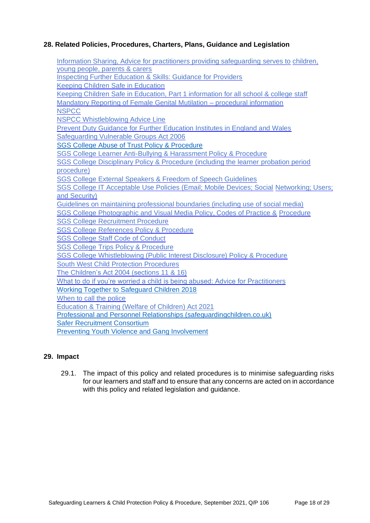# **28. Related Policies, Procedures, Charters, Plans, Guidance and Legislation**

| Information Sharing, Advice for practitioners providing safeguarding serves to children, |
|------------------------------------------------------------------------------------------|
| young people, parents & carers                                                           |
| <b>Inspecting Further Education &amp; Skills: Guidance for Providers</b>                 |
| <b>Keeping Children Safe in Education</b>                                                |
| Keeping Children Safe in Education, Part 1 information for all school & college staff    |
| Mandatory Reporting of Female Genital Mutilation – procedural information                |
| <b>NSPCC</b>                                                                             |
| <b>NSPCC Whistleblowing Advice Line</b>                                                  |
| <b>Prevent Duty Guidance for Further Education Institutes in England and Wales</b>       |
| Safeguarding Vulnerable Groups Act 2006                                                  |
| <b>SGS College Abuse of Trust Policy &amp; Procedure</b>                                 |
| SGS College Learner Anti-Bullying & Harassment Policy & Procedure                        |
| SGS College Disciplinary Policy & Procedure (including the learner probation period      |
| procedure)                                                                               |
| SGS College External Speakers & Freedom of Speech Guidelines                             |
| SGS College IT Acceptable Use Policies (Email; Mobile Devices; Social Networking; Users; |
| and Security)                                                                            |
| Guidelines on maintaining professional boundaries (including use of social media)        |
| SGS College Photographic and Visual Media Policy, Codes of Practice & Procedure          |
| <b>SGS College Recruitment Procedure</b>                                                 |
| <b>SGS College References Policy &amp; Procedure</b>                                     |
| <b>SGS College Staff Code of Conduct</b>                                                 |
| <b>SGS College Trips Policy &amp; Procedure</b>                                          |
| SGS College Whistleblowing (Public Interest Disclosure) Policy & Procedure               |
| <b>South West Child Protection Procedures</b>                                            |
| The Children's Act 2004 (sections 11 & 16)                                               |
| What to do if you're worried a child is being abused: Advice for Practitioners           |
| <b>Working Together to Safeguard Children 2018</b>                                       |
| When to call the police                                                                  |
| Education & Training (Welfare of Children) Act 2021                                      |
| Professional and Personnel Relationships (safeguardingchildren.co.uk)                    |
| <b>Safer Recruitment Consortium</b>                                                      |
| <b>Preventing Youth Violence and Gang Involvement</b>                                    |

# **29. Impact**

29.1. The impact of this policy and related procedures is to minimise safeguarding risks for our learners and staff and to ensure that any concerns are acted on in accordance with this policy and related legislation and guidance.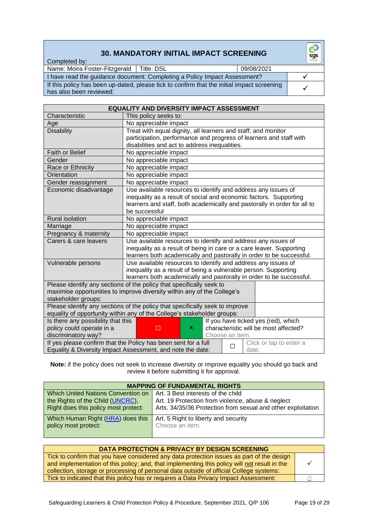# **30. MANDATORY INITIAL IMPACT SCREENING**

Completed by:

Name: Moira Foster-Fitzgerald | Title: DSL | 09/08/2021

✓

 $\frac{1}{\sqrt{25}}$ 

I have read the guidance document: Completing a Policy Impact Assessment? If this policy has been up-dated, please tick to confirm that the initial impact screening  $\checkmark$ has also been reviewed:

| <b>EQUALITY AND DIVERSITY IMPACT ASSESSMENT</b>                                                |                                                                          |  |  |  |
|------------------------------------------------------------------------------------------------|--------------------------------------------------------------------------|--|--|--|
| Characteristic                                                                                 | This policy seeks to:                                                    |  |  |  |
| Age                                                                                            | No appreciable impact                                                    |  |  |  |
| <b>Disability</b>                                                                              | Treat with equal dignity, all learners and staff; and monitor            |  |  |  |
|                                                                                                | participation, performance and progress of learners and staff with       |  |  |  |
|                                                                                                | disabilities and act to address inequalities.                            |  |  |  |
| <b>Faith or Belief</b>                                                                         | No appreciable impact                                                    |  |  |  |
| Gender                                                                                         | No appreciable impact                                                    |  |  |  |
| Race or Ethnicity                                                                              | No appreciable impact                                                    |  |  |  |
| Orientation                                                                                    | No appreciable impact                                                    |  |  |  |
| Gender reassignment                                                                            | No appreciable impact                                                    |  |  |  |
| Economic disadvantage                                                                          | Use available resources to identify and address any issues of            |  |  |  |
|                                                                                                | inequality as a result of social and economic factors. Supporting        |  |  |  |
|                                                                                                | learners and staff, both academically and pastorally in order for all to |  |  |  |
|                                                                                                | be successful                                                            |  |  |  |
| <b>Rural isolation</b>                                                                         | No appreciable impact                                                    |  |  |  |
| Marriage                                                                                       | No appreciable impact                                                    |  |  |  |
| Pregnancy & maternity                                                                          | No appreciable impact                                                    |  |  |  |
| Carers & care leavers                                                                          | Use available resources to identify and address any issues of            |  |  |  |
|                                                                                                | inequality as a result of being in care or a care leaver. Supporting     |  |  |  |
|                                                                                                | learners both academically and pastorally in order to be successful.     |  |  |  |
| Vulnerable persons                                                                             | Use available resources to identify and address any issues of            |  |  |  |
|                                                                                                | inequality as a result of being a vulnerable person. Supporting          |  |  |  |
|                                                                                                | learners both academically and pastorally in order to be successful.     |  |  |  |
|                                                                                                | Please identify any sections of the policy that specifically seek to     |  |  |  |
|                                                                                                | maximise opportunities to improve diversity within any of the College's  |  |  |  |
| stakeholder groups:                                                                            |                                                                          |  |  |  |
| Please identify any sections of the policy that specifically seek to improve                   |                                                                          |  |  |  |
|                                                                                                | equality of opportunity within any of the College's stakeholder groups:  |  |  |  |
| Is there any possibility that this                                                             | If you have ticked yes (red), which                                      |  |  |  |
| policy could operate in a<br>characteristic will be most affected?<br>×<br>П                   |                                                                          |  |  |  |
| discriminatory way?                                                                            | Choose an item.                                                          |  |  |  |
| If yes please confirm that the Policy has been sent for a full<br>Click or tap to enter a<br>П |                                                                          |  |  |  |
| Equality & Diversity Impact Assessment, and note the date:<br>date.                            |                                                                          |  |  |  |

**Note:** if the policy does not seek to increase diversity or improve equality you should go back and review it before submitting it for approval.

| <b>MAPPING OF FUNDAMENTAL RIGHTS</b>      |                                                              |  |  |  |
|-------------------------------------------|--------------------------------------------------------------|--|--|--|
| <b>Which United Nations Convention on</b> | Art. 3 Best interests of the child                           |  |  |  |
| the Rights of the Child (UNCRC),          | Art. 19 Protection from violence, abuse & neglect            |  |  |  |
| Right does this policy most protect:      | Arts. 34/35/36 Protection from sexual and other exploitation |  |  |  |
| Which Human Right (HRA) does this         | Art. 5 Right to liberty and security                         |  |  |  |
| policy most protect:                      | Choose an item.                                              |  |  |  |

| <b>DATA PROTECTION &amp; PRIVACY BY DESIGN SCREENING</b>                                                                                                                                                                                                                             |  |
|--------------------------------------------------------------------------------------------------------------------------------------------------------------------------------------------------------------------------------------------------------------------------------------|--|
| Tick to confirm that you have considered any data protection issues as part of the design<br>and implementation of this policy; and, that implementing this policy will not result in the<br>collection, storage or processing of personal data outside of official College systems: |  |
| Tick to indicated that this policy has or requires a Data Privacy Impact Assessment:                                                                                                                                                                                                 |  |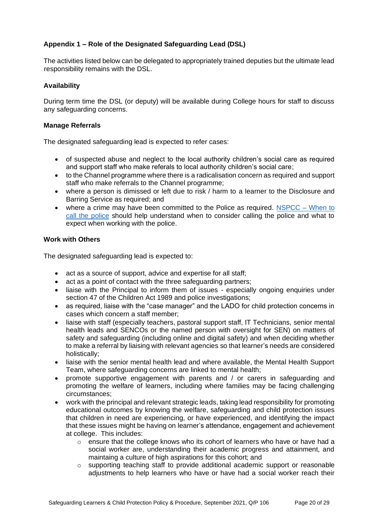# **Appendix 1 – Role of the Designated Safeguarding Lead (DSL)**

The activities listed below can be delegated to appropriately trained deputies but the ultimate lead responsibility remains with the DSL.

### **Availability**

During term time the DSL (or deputy) will be available during College hours for staff to discuss any safeguarding concerns.

#### **Manage Referrals**

The designated safeguarding lead is expected to refer cases:

- of suspected abuse and neglect to the local authority children's social care as required and support staff who make referals to local authority children's social care;
- to the Channel programme where there is a radicalisation concern as required and support staff who make referrals to the Channel programme;
- where a person is dimissed or left due to risk / harm to a learner to the Disclosure and Barring Service as required; and
- where a crime may have been committed to the Police as required. [NSPCC –](https://www.npcc.police.uk/documents/Children%20and%20Young%20people/When%20to%20call%20the%20police%20guidance%20for%20schools%20and%20colleges.pdf) When to [call the police](https://www.npcc.police.uk/documents/Children%20and%20Young%20people/When%20to%20call%20the%20police%20guidance%20for%20schools%20and%20colleges.pdf) should help understand when to consider calling the police and what to expect when working with the police.

### **Work with Others**

The designated safeguarding lead is expected to:

- act as a source of support, advice and expertise for all staff;
- act as a point of contact with the three safeguarding partners;
- liaise with the Principal to inform them of issues especially ongoing enquiries under section 47 of the Children Act 1989 and police investigations;
- as required, liaise with the "case manager" and the LADO for child protection concerns in cases which concern a staff member;
- liaise with staff (especially teachers, pastoral support staff, IT Technicians, senior mental health leads and SENCOs or the named person with oversight for SEN) on matters of safety and safeguarding (including online and digital safety) and when deciding whether to make a referral by liaising with relevant agencies so that learner's needs are considered holistically;
- liaise with the senior mental health lead and where available, the Mental Health Support Team, where safeguarding concerns are linked to mental health;
- promote supportive engagement with parents and / or carers in safeguarding and promoting the welfare of learners, including where families may be facing challenging circumstances;
- work with the principal and relevant strategic leads, taking lead responsibility for promoting educational outcomes by knowing the welfare, safeguarding and child protection issues that children in need are experiencing, or have experienced, and identifying the impact that these issues might be having on learner's attendance, engagement and achievement at college. This includes:
	- o ensure that the college knows who its cohort of learners who have or have had a social worker are, understanding their academic progress and attainment, and maintaing a culture of high aspirations for this cohort; and
	- $\circ$  supporting teaching staff to provide additional academic support or reasonable adjustments to help learners who have or have had a social worker reach their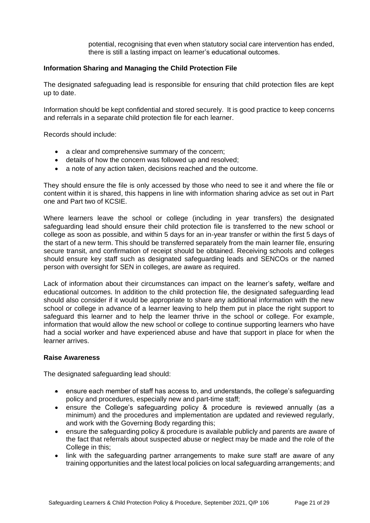potential, recognising that even when statutory social care intervention has ended, there is still a lasting impact on learner's educational outcomes.

### **Information Sharing and Managing the Child Protection File**

The designated safeguading lead is responsible for ensuring that child protection files are kept up to date.

Information should be kept confidential and stored securely. It is good practice to keep concerns and referrals in a separate child protection file for each learner.

Records should include:

- a clear and comprehensive summary of the concern;
- details of how the concern was followed up and resolved;
- a note of any action taken, decisions reached and the outcome.

They should ensure the file is only accessed by those who need to see it and where the file or content within it is shared, this happens in line with information sharing advice as set out in Part one and Part two of KCSIE.

Where learners leave the school or college (including in year transfers) the designated safeguarding lead should ensure their child protection file is transferred to the new school or college as soon as possible, and within 5 days for an in-year transfer or within the first 5 days of the start of a new term. This should be transferred separately from the main learner file, ensuring secure transit, and confirmation of receipt should be obtained. Receiving schools and colleges should ensure key staff such as designated safeguarding leads and SENCOs or the named person with oversight for SEN in colleges, are aware as required.

Lack of information about their circumstances can impact on the learner's safety, welfare and educational outcomes. In addition to the child protection file, the designated safeguarding lead should also consider if it would be appropriate to share any additional information with the new school or college in advance of a learner leaving to help them put in place the right support to safeguard this learner and to help the learner thrive in the school or college. For example, information that would allow the new school or college to continue supporting learners who have had a social worker and have experienced abuse and have that support in place for when the learner arrives.

#### **Raise Awareness**

The designated safeguarding lead should:

- ensure each member of staff has access to, and understands, the college's safeguarding policy and procedures, especially new and part-time staff;
- ensure the College's safeguarding policy & procedure is reviewed annually (as a minimum) and the procedures and implementation are updated and reviewed regularly, and work with the Governing Body regarding this;
- ensure the safeguarding policy & procedure is available publicly and parents are aware of the fact that referrals about suspected abuse or neglect may be made and the role of the College in this;
- link with the safeguarding partner arrangements to make sure staff are aware of any training opportunities and the latest local policies on local safeguarding arrangements; and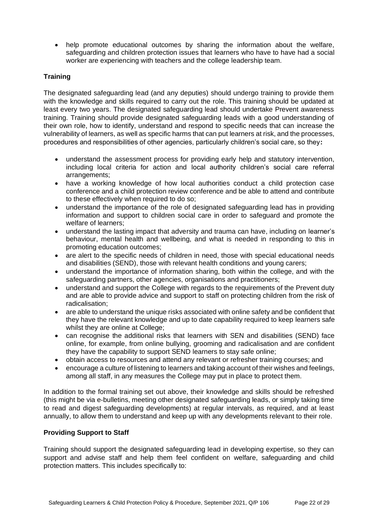• help promote educational outcomes by sharing the information about the welfare, safeguarding and children protection issues that learners who have to have had a social worker are experiencing with teachers and the college leadership team.

# **Training**

The designated safeguarding lead (and any deputies) should undergo training to provide them with the knowledge and skills required to carry out the role. This training should be updated at least every two years. The designated safeguarding lead should undertake Prevent awareness training. Training should provide designated safeguarding leads with a good understanding of their own role, how to identify, understand and respond to specific needs that can increase the vulnerability of learners, as well as specific harms that can put learners at risk, and the processes, procedures and responsibilities of other agencies, particularly children's social care, so they**:**

- understand the assessment process for providing early help and statutory intervention, including local criteria for action and local authority children's social care referral arrangements;
- have a working knowledge of how local authorities conduct a child protection case conference and a child protection review conference and be able to attend and contribute to these effectively when required to do so;
- understand the importance of the role of designated safeguarding lead has in providing information and support to children social care in order to safeguard and promote the welfare of learners;
- understand the lasting impact that adversity and trauma can have, including on learner's behaviour, mental health and wellbeing, and what is needed in responding to this in promoting education outcomes;
- are alert to the specific needs of children in need, those with special educational needs and disabilities (SEND), those with relevant health conditions and young carers;
- understand the importance of information sharing, both within the college, and with the safeguarding partners, other agencies, organisations and practitioners;
- understand and support the College with regards to the requirements of the Prevent duty and are able to provide advice and support to staff on protecting children from the risk of radicalisation;
- are able to understand the unique risks associated with online safety and be confident that they have the relevant knowledge and up to date capability required to keep learners safe whilst they are online at College;
- can recognise the additional risks that learners with SEN and disabilities (SEND) face online, for example, from online bullying, grooming and radicalisation and are confident they have the capability to support SEND learners to stay safe online;
- obtain access to resources and attend any relevant or refresher training courses; and
- encourage a culture of listening to learners and taking account of their wishes and feelings, among all staff, in any measures the College may put in place to protect them.

In addition to the formal training set out above, their knowledge and skills should be refreshed (this might be via e-bulletins, meeting other designated safeguarding leads, or simply taking time to read and digest safeguarding developments) at regular intervals, as required, and at least annually, to allow them to understand and keep up with any developments relevant to their role.

# **Providing Support to Staff**

Training should support the designated safeguarding lead in developing expertise, so they can support and advise staff and help them feel confident on welfare, safeguarding and child protection matters. This includes specifically to: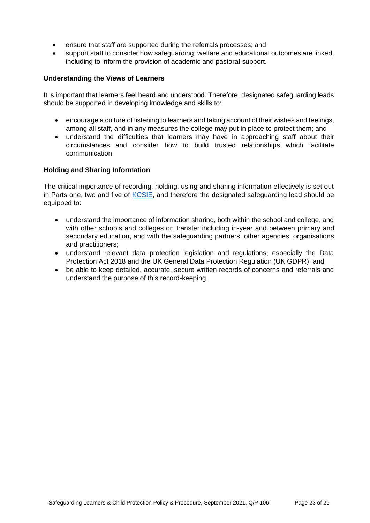- ensure that staff are supported during the referrals processes; and
- support staff to consider how safeguarding, welfare and educational outcomes are linked, including to inform the provision of academic and pastoral support.

#### **Understanding the Views of Learners**

It is important that learners feel heard and understood. Therefore, designated safeguarding leads should be supported in developing knowledge and skills to:

- encourage a culture of listening to learners and taking account of their wishes and feelings, among all staff, and in any measures the college may put in place to protect them; and
- understand the difficulties that learners may have in approaching staff about their circumstances and consider how to build trusted relationships which facilitate communication.

### **Holding and Sharing Information**

The critical importance of recording, holding, using and sharing information effectively is set out in Parts one, two and five of [KCSIE,](https://assets.publishing.service.gov.uk/government/uploads/system/uploads/attachment_data/file/1007260/Keeping_children_safe_in_education_2021.pdf) and therefore the designated safeguarding lead should be equipped to:

- understand the importance of information sharing, both within the school and college, and with other schools and colleges on transfer including in-year and between primary and secondary education, and with the safeguarding partners, other agencies, organisations and practitioners;
- understand relevant data protection legislation and regulations, especially the Data Protection Act 2018 and the UK General Data Protection Regulation (UK GDPR); and
- be able to keep detailed, accurate, secure written records of concerns and referrals and understand the purpose of this record-keeping.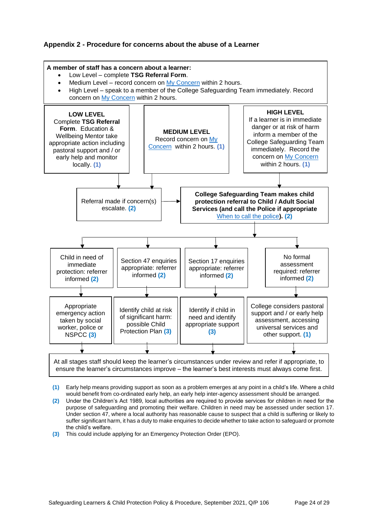# **Appendix 2 - Procedure for concerns about the abuse of a Learner**



- **(1)** Early help means providing support as soon as a problem emerges at any point in a child's life. Where a child would benefit from co-ordinated early help, an early help inter-agency assessment should be arranged.
- **(2)** Under the Children's Act 1989, local authorities are required to provide services for children in need for the purpose of safeguarding and promoting their welfare. Children in need may be assessed under section 17. Under section 47, where a local authority has reasonable cause to suspect that a child is suffering or likely to suffer significant harm, it has a duty to make enquiries to decide whether to take action to safeguard or promote the child's welfare.
- **(3)** This could include applying for an Emergency Protection Order (EPO).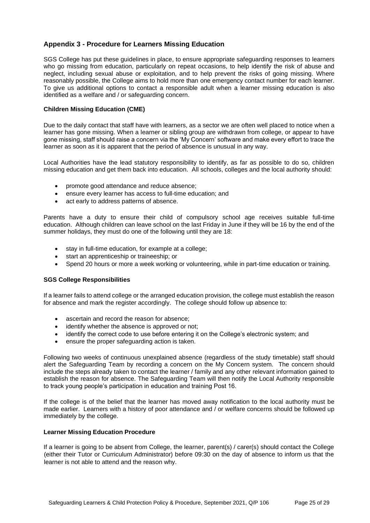#### **Appendix 3 - Procedure for Learners Missing Education**

SGS College has put these guidelines in place, to ensure appropriate safeguarding responses to learners who go missing from education, particularly on repeat occasions, to help identify the risk of abuse and neglect, including sexual abuse or exploitation, and to help prevent the risks of going missing. Where reasonably possible, the College aims to hold more than one emergency contact number for each learner. To give us additional options to contact a responsible adult when a learner missing education is also identified as a welfare and / or safeguarding concern.

#### **Children Missing Education (CME)**

Due to the daily contact that staff have with learners, as a sector we are often well placed to notice when a learner has gone missing. When a learner or sibling group are withdrawn from college, or appear to have gone missing, staff should raise a concern via the 'My Concern' software and make every effort to trace the learner as soon as it is apparent that the period of absence is unusual in any way.

Local Authorities have the lead statutory responsibility to identify, as far as possible to do so, children missing education and get them back into education. All schools, colleges and the local authority should:

- promote good attendance and reduce absence;
- ensure every learner has access to full-time education; and
- act early to address patterns of absence.

Parents have a duty to ensure their child of compulsory school age receives suitable full-time education. Although children can leave school on the last Friday in June if they will be 16 by the end of the summer holidays, they must do one of the following until they are 18:

- stay in full-time education, for example at a college;
- start an [apprenticeship](https://www.gov.uk/apprenticeships-guide) or [traineeship;](https://www.gov.uk/find-traineeship) or
- Spend 20 hours or more a week working or volunteering, while in part-time education or training.

#### **SGS College Responsibilities**

If a learner fails to attend college or the arranged education provision, the college must establish the reason for absence and mark the register accordingly. The college should follow up absence to:

- ascertain and record the reason for absence:
- identify whether the absence is approved or not;
- identify the correct code to use before entering it on the College's electronic system; and
- ensure the proper safeguarding action is taken.

Following two weeks of continuous unexplained absence (regardless of the study timetable) staff should alert the Safeguarding Team by recording a concern on the My Concern system. The concern should include the steps already taken to contact the learner / family and any other relevant information gained to establish the reason for absence. The Safeguarding Team will then notify the Local Authority responsible to track young people's participation in education and training Post 16.

If the college is of the belief that the learner has moved away notification to the local authority must be made earlier. Learners with a history of poor attendance and / or welfare concerns should be followed up immediately by the college.

#### **Learner Missing Education Procedure**

If a learner is going to be absent from College, the learner, parent(s) / carer(s) should contact the College (either their Tutor or Curriculum Administrator) before 09:30 on the day of absence to inform us that the learner is not able to attend and the reason why.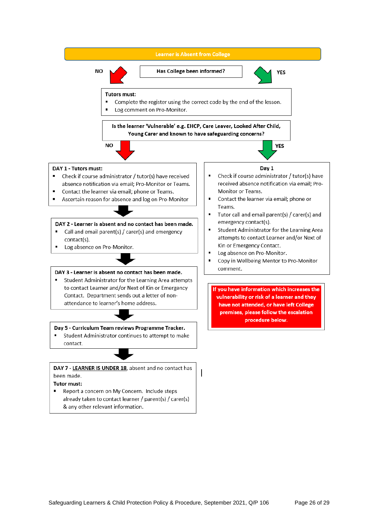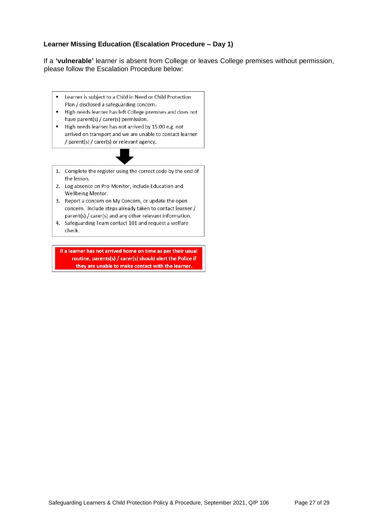# **Learner Missing Education (Escalation Procedure – Day 1)**

If a **'vulnerable'** learner is absent from College or leaves College premises without permission, please follow the Escalation Procedure below:

- $\blacksquare$ Learner is subject to a Child in Need or Child Protection Plan / disclosed a safeguarding concern.
- $\blacksquare$ High needs learner has left College premises and does not have parent(s) / carer(s) permission.
- High needs learner has not arrived by 15:00 e.g. not arrived on transport and we are unable to contact learner / parent(s) / carer(s) or relevant agency.



- 1. Complete the register using the correct code by the end of the lesson.
- 2. Log absence on Pro-Monitor, include Education and Wellbeing Mentor.
- 3. Report a concern on My Concern, or update the open concern. Include steps already taken to contact learner / parent(s) / carer(s) and any other relevant information.
- 4. Safeguarding Team contact 101 and request a welfare check.

If a learner has not arrived home on time as per their usual routine, parents(s) / carer(s) should alert the Police if they are unable to make contact with the learner.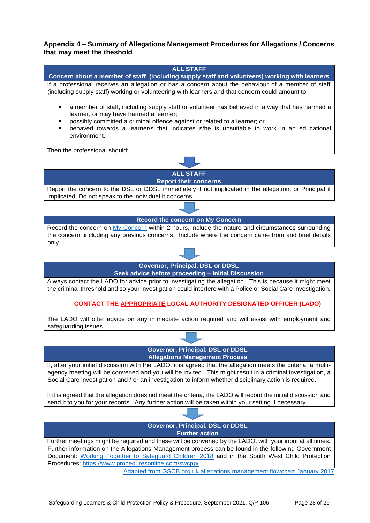### **Appendix 4 – Summary of Allegations Management Procedures for Allegations / Concerns that may meet the theshold**